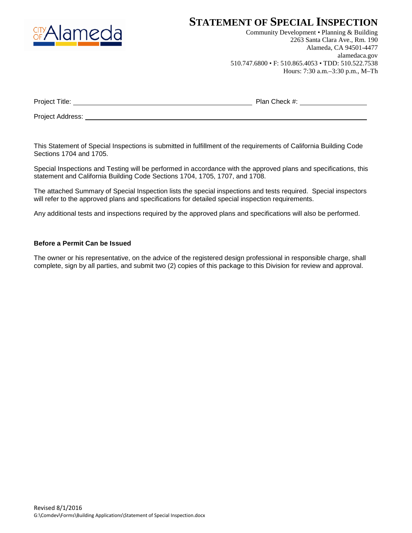

## **STATEMENT OF SPECIAL INSPECTION**

Community Development • Planning & Building 2263 Santa Clara Ave., Rm. 190 Alameda, CA 94501-4477 alamedaca.gov 510.747.6800 • F: 510.865.4053 • TDD: 510.522.7538 Hours: 7:30 a.m.–3:30 p.m., M–Th

| Project<br>! ıtle: | <b>Plan</b> പ<br>`heck #<br>-- |  |
|--------------------|--------------------------------|--|
|                    |                                |  |

Project Address:

This Statement of Special Inspections is submitted in fulfillment of the requirements of California Building Code Sections 1704 and 1705.

Special Inspections and Testing will be performed in accordance with the approved plans and specifications, this statement and California Building Code Sections 1704, 1705, 1707, and 1708.

The attached Summary of Special Inspection lists the special inspections and tests required. Special inspectors will refer to the approved plans and specifications for detailed special inspection requirements.

Any additional tests and inspections required by the approved plans and specifications will also be performed.

#### **Before a Permit Can be Issued**

The owner or his representative, on the advice of the registered design professional in responsible charge, shall complete, sign by all parties, and submit two (2) copies of this package to this Division for review and approval.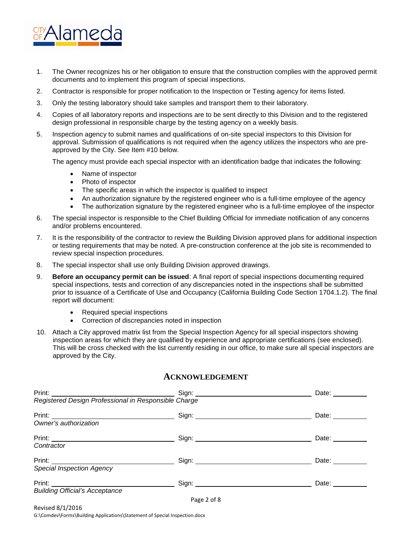

- 1. The Owner recognizes his or her obligation to ensure that the construction complies with the approved permit documents and to implement this program of special inspections.
- 2. Contractor is responsible for proper notification to the Inspection or Testing agency for items listed.
- 3. Only the testing laboratory should take samples and transport them to their laboratory.
- 4. Copies of all laboratory reports and inspections are to be sent directly to this Division and to the registered design professional in responsible charge by the testing agency on a weekly basis.
- 5. Inspection agency to submit names and qualifications of on-site special inspectors to this Division for approval. Submission of qualifications is not required when the agency utilizes the inspectors who are preapproved by the City. See Item #10 below.

The agency must provide each special inspector with an identification badge that indicates the following:

- Name of inspector
- Photo of inspector
- The specific areas in which the inspector is qualified to inspect
- An authorization signature by the registered engineer who is a full-time employee of the agency
- The authorization signature by the registered engineer who is a full-time employee of the inspector
- 6. The special inspector is responsible to the Chief Building Official for immediate notification of any concerns and/or problems encountered.
- 7. It is the responsibility of the contractor to review the Building Division approved plans for additional inspection or testing requirements that may be noted. A pre-construction conference at the job site is recommended to review special inspection procedures.
- 8. The special inspector shall use only Building Division approved drawings.
- 9. **Before an occupancy permit can be issued**: A final report of special inspections documenting required special inspections, tests and correction of any discrepancies noted in the inspections shall be submitted prior to issuance of a Certificate of Use and Occupancy (California Building Code Section 1704.1.2). The final report will document:
	- Required special inspections
	- Correction of discrepancies noted in inspection
- 10. Attach a City approved matrix list from the Special Inspection Agency for all special inspectors showing inspection areas for which they are qualified by experience and appropriate certifications (see enclosed). This will be cross checked with the list currently residing in our office, to make sure all special inspectors are approved by the City.

|                                                                                                                                                                                                                                |                                                    | Date: $\qquad \qquad$                                                     |
|--------------------------------------------------------------------------------------------------------------------------------------------------------------------------------------------------------------------------------|----------------------------------------------------|---------------------------------------------------------------------------|
| Print: Sign: Sign: Sign: Sign: Sign: Sign: Sign: Sign: Sign: Sign: Sign: Sign: Sign: Sign: Sign: Sign: Sign: Sign: Sign: Sign: Sign: Sign: Sign: Sign: Sign: Sign: Sign: Sign: Sign: Sign: Sign: Sign: Sign: Sign: Sign: Sign: |                                                    |                                                                           |
|                                                                                                                                                                                                                                | Sign: New York Sign: New York Sign: New York Sign: | Date: ______                                                              |
|                                                                                                                                                                                                                                |                                                    |                                                                           |
|                                                                                                                                                                                                                                | Sign: Sign:                                        | Date: __________                                                          |
| Contractor                                                                                                                                                                                                                     |                                                    |                                                                           |
|                                                                                                                                                                                                                                |                                                    | Date: $\frac{1}{\sqrt{1-\frac{1}{2}}\cdot\frac{1}{\sqrt{1-\frac{1}{2}}}}$ |
| <b>Special Inspection Agency</b>                                                                                                                                                                                               |                                                    |                                                                           |
| Print: <u>______________________</u>                                                                                                                                                                                           |                                                    | Date: __________                                                          |
| <b>Building Official's Acceptance</b>                                                                                                                                                                                          |                                                    |                                                                           |
|                                                                                                                                                                                                                                | Page 2 of 8                                        |                                                                           |

#### **ACKNOWLEDGEMENT**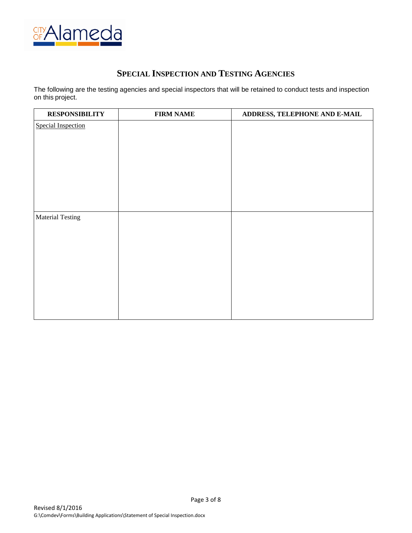

## **SPECIAL INSPECTION AND TESTING AGENCIES**

The following are the testing agencies and special inspectors that will be retained to conduct tests and inspection on this project.

| <b>RESPONSIBILITY</b>     | <b>FIRM NAME</b> | ADDRESS, TELEPHONE AND E-MAIL |
|---------------------------|------------------|-------------------------------|
| <b>Special Inspection</b> |                  |                               |
|                           |                  |                               |
|                           |                  |                               |
|                           |                  |                               |
|                           |                  |                               |
|                           |                  |                               |
|                           |                  |                               |
|                           |                  |                               |
| <b>Material Testing</b>   |                  |                               |
|                           |                  |                               |
|                           |                  |                               |
|                           |                  |                               |
|                           |                  |                               |
|                           |                  |                               |
|                           |                  |                               |
|                           |                  |                               |
|                           |                  |                               |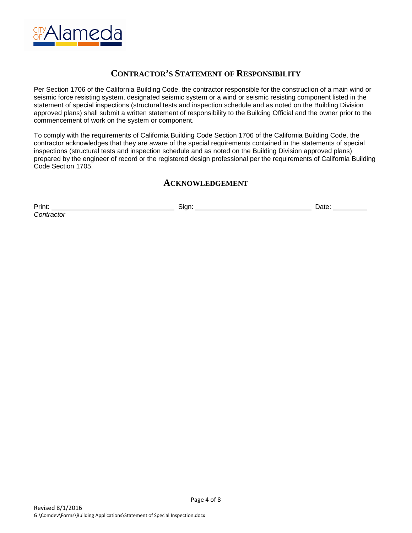

## **CONTRACTOR'S STATEMENT OF RESPONSIBILITY**

Per Section 1706 of the California Building Code, the contractor responsible for the construction of a main wind or seismic force resisting system, designated seismic system or a wind or seismic resisting component listed in the statement of special inspections (structural tests and inspection schedule and as noted on the Building Division approved plans) shall submit a written statement of responsibility to the Building Official and the owner prior to the commencement of work on the system or component.

To comply with the requirements of California Building Code Section 1706 of the California Building Code, the contractor acknowledges that they are aware of the special requirements contained in the statements of special inspections (structural tests and inspection schedule and as noted on the Building Division approved plans) prepared by the engineer of record or the registered design professional per the requirements of California Building Code Section 1705.

### **ACKNOWLEDGEMENT**

Print: Sign: Date: *Contractor*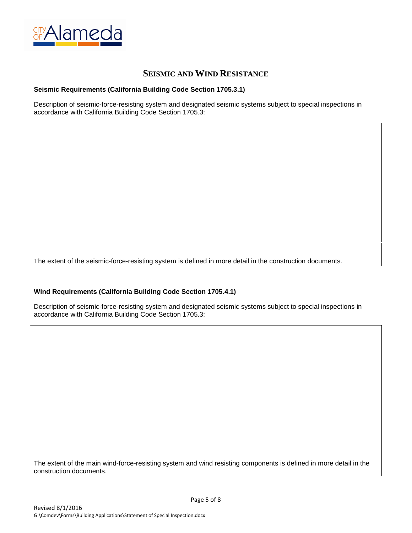

### **SEISMIC AND WIND RESISTANCE**

#### **Seismic Requirements (California Building Code Section 1705.3.1)**

Description of seismic-force-resisting system and designated seismic systems subject to special inspections in accordance with California Building Code Section 1705.3:

The extent of the seismic-force-resisting system is defined in more detail in the construction documents.

#### **Wind Requirements (California Building Code Section 1705.4.1)**

Description of seismic-force-resisting system and designated seismic systems subject to special inspections in accordance with California Building Code Section 1705.3:

The extent of the main wind-force-resisting system and wind resisting components is defined in more detail in the construction documents.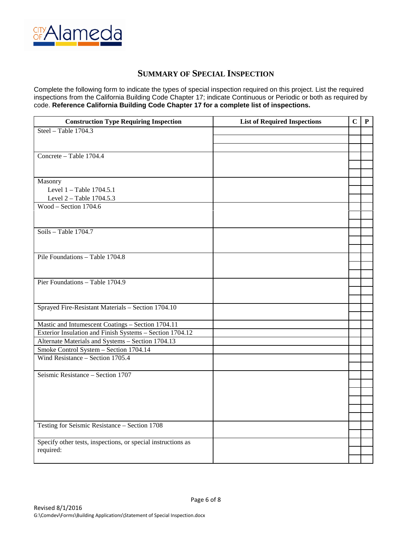

## **SUMMARY OF SPECIAL INSPECTION**

Complete the following form to indicate the types of special inspection required on this project. List the required inspections from the California Building Code Chapter 17; indicate Continuous or Periodic or both as required by code. **Reference California Building Code Chapter 17 for a complete list of inspections.**

| <b>Construction Type Requiring Inspection</b>                | <b>List of Required Inspections</b> | $\mathbf C$ | ${\bf P}$ |
|--------------------------------------------------------------|-------------------------------------|-------------|-----------|
| Steel - Table 1704.3                                         |                                     |             |           |
|                                                              |                                     |             |           |
|                                                              |                                     |             |           |
| Concrete - Table 1704.4                                      |                                     |             |           |
|                                                              |                                     |             |           |
|                                                              |                                     |             |           |
| Masonry                                                      |                                     |             |           |
| Level 1 - Table 1704.5.1                                     |                                     |             |           |
| Level 2 - Table 1704.5.3                                     |                                     |             |           |
| Wood - Section $1704.6$                                      |                                     |             |           |
|                                                              |                                     |             |           |
|                                                              |                                     |             |           |
| Soils - Table $1704.7$                                       |                                     |             |           |
|                                                              |                                     |             |           |
|                                                              |                                     |             |           |
| Pile Foundations - Table 1704.8                              |                                     |             |           |
|                                                              |                                     |             |           |
|                                                              |                                     |             |           |
| Pier Foundations - Table 1704.9                              |                                     |             |           |
|                                                              |                                     |             |           |
|                                                              |                                     |             |           |
| Sprayed Fire-Resistant Materials - Section 1704.10           |                                     |             |           |
|                                                              |                                     |             |           |
| Mastic and Intumescent Coatings - Section 1704.11            |                                     |             |           |
| Exterior Insulation and Finish Systems - Section 1704.12     |                                     |             |           |
| Alternate Materials and Systems - Section 1704.13            |                                     |             |           |
| Smoke Control System - Section 1704.14                       |                                     |             |           |
| Wind Resistance - Section 1705.4                             |                                     |             |           |
|                                                              |                                     |             |           |
| Seismic Resistance - Section 1707                            |                                     |             |           |
|                                                              |                                     |             |           |
|                                                              |                                     |             |           |
|                                                              |                                     |             |           |
|                                                              |                                     |             |           |
|                                                              |                                     |             |           |
| Testing for Seismic Resistance - Section 1708                |                                     |             |           |
|                                                              |                                     |             |           |
| Specify other tests, inspections, or special instructions as |                                     |             |           |
| required:                                                    |                                     |             |           |
|                                                              |                                     |             |           |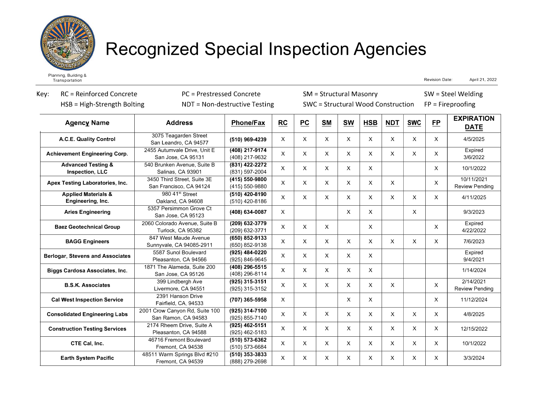

# **Recognized Special Inspection Agencies**

**Transportation** 

Revision Date: April 21, 2022

| <b>RC</b> = Reinforced Concrete<br>Key:<br>$HSB = High-Streamgth Bolting$ |                                                        | PC = Prestressed Concrete<br>NDT = Non-destructive Testing |              |              | <b>SM</b> = Structural Masonry |              | SWC = Structural Wood Construction |              | $SW = Steel$ Welding<br>$FP = Fireproofing$ |              |                                     |  |
|---------------------------------------------------------------------------|--------------------------------------------------------|------------------------------------------------------------|--------------|--------------|--------------------------------|--------------|------------------------------------|--------------|---------------------------------------------|--------------|-------------------------------------|--|
| <b>Agency Name</b>                                                        | <b>Address</b>                                         | <b>Phone/Fax</b>                                           | <b>RC</b>    | PC           | <b>SM</b>                      | <b>SW</b>    | <b>HSB</b>                         | <b>NDT</b>   | <b>SWC</b>                                  | <b>FP</b>    | <b>EXPIRATION</b><br><b>DATE</b>    |  |
| A.C.E. Quality Control                                                    | 3075 Teagarden Street<br>San Leandro, CA 94577         | (510) 969-4239                                             | $\times$     | X            | X.                             | X            | X                                  | X            | X                                           | $\times$     | 4/5/2025                            |  |
| <b>Achievement Engineering Corp.</b>                                      | 2455 Autumvale Drive, Unit E<br>San Jose, CA 95131     | (408) 217-9174<br>(408) 217-9632                           | X            | $\mathsf{x}$ | $\times$                       | $\mathsf{X}$ | $\mathsf{x}$                       | $\mathsf{x}$ | $\times$                                    | X            | Expired<br>3/6/2022                 |  |
| <b>Advanced Testing &amp;</b><br>Inspection, LLC                          | 540 Brunken Avenue, Suite B<br>Salinas, CA 93901       | (831) 422-2272<br>(831) 597-2004                           | X            | $\mathsf{x}$ | $\times$                       | $\times$     | X                                  |              |                                             | X            | 10/1/2022                           |  |
| <b>Apex Testing Laboratories, Inc.</b>                                    | 3450 Third Street, Suite 3E<br>San Francisco, CA 94124 | (415) 550-9800<br>(415) 550-9880                           | $\mathsf{x}$ | $\mathsf{x}$ | $\times$                       | $\mathsf{x}$ | $\mathsf{x}$                       | X            |                                             | X            | 10/11/2021<br><b>Review Pending</b> |  |
| <b>Applied Materials &amp;</b><br>Engineering, Inc.                       | 980 41 <sup>st</sup> Street<br>Oakland, CA 94608       | (510) 420-8190<br>(510) 420-8186                           | $\times$     | $\mathsf{x}$ | X.                             | X            | $\times$                           | X            | $\times$                                    | $\times$     | 4/11/2025                           |  |
| <b>Aries Engineering</b>                                                  | 5357 Persimmon Grove Ct<br>San Jose, CA 95123          | (408) 634-0087                                             | X            |              |                                | X            | X                                  |              | X                                           |              | 9/3/2023                            |  |
| <b>Baez Geotechnical Group</b>                                            | 2060 Colorado Avenue, Suite B<br>Turlock, CA 95382     | (209) 632-3779<br>(209) 632-3771                           | X            | X            | $\times$                       |              | X.                                 |              |                                             | $\times$     | Expired<br>4/22/2022                |  |
| <b>BAGG Engineers</b>                                                     | 847 West Maude Avenue<br>Sunnyvale, CA 94085-2911      | (650) 852-9133<br>(650) 852-9138                           | X            | $\times$     | X.                             | $\times$     | $\times$                           | $\times$     | X                                           | $\times$     | 7/6/2023                            |  |
| <b>Berlogar, Stevens and Associates</b>                                   | 5587 Sunol Boulevard<br>Pleasanton, CA 94566           | (925) 484-0220<br>(925) 846-9645                           | X            | X            | X                              | X            | X                                  |              |                                             |              | Expired<br>9/4/2021                 |  |
| <b>Biggs Cardosa Associates, Inc.</b>                                     | 1871 The Alameda, Suite 200<br>San Jose, CA 95126      | (408) 296-5515<br>(408) 296-8114                           | X            | X            | $\mathsf{X}$                   | X            | X.                                 |              |                                             |              | 1/14/2024                           |  |
| <b>B.S.K. Associates</b>                                                  | 399 Lindbergh Ave<br>Livermore, CA 94551               | (925) 315-3151<br>(925) 315-3152                           | X            | $\mathsf{X}$ | X.                             | $\times$     | X.                                 | X            |                                             | X            | 2/14/2021<br><b>Review Pending</b>  |  |
| <b>Cal West Inspection Service</b>                                        | 2391 Hanson Drive<br>Fairfield, CA, 94533              | (707) 365-5958                                             | $\times$     |              |                                | X            | X                                  |              |                                             | X            | 11/12/2024                          |  |
| <b>Consolidated Engineering Labs</b>                                      | 2001 Crow Canyon Rd, Suite 100<br>San Ramon, CA 94583  | (925) 314-7100<br>(925) 855-7140                           | X            | X            | X                              | X            | X                                  | X            | X                                           | X            | 4/8/2025                            |  |
| <b>Construction Testing Services</b>                                      | 2174 Rheem Drive, Suite A<br>Pleasanton, CA 94588      | (925) 462-5151<br>(925) 462-5183                           | $\mathsf{X}$ | X            | X.                             | X            | X                                  | X            | $\mathsf{x}$                                | X            | 12/15/2022                          |  |
| CTE Cal, Inc.                                                             | 46716 Fremont Boulevard<br>Fremont, CA 94538           | (510) 573-6362<br>(510) 573-6684                           | X            | X            | $\times$                       | X            | $\mathsf{x}$                       | $\mathsf{x}$ | $\mathsf{x}$                                | $\mathsf{x}$ | 10/1/2022                           |  |
| <b>Earth System Pacific</b>                                               | 48511 Warm Springs Blvd #210<br>Fremont, CA 94539      | (510) 353-3833<br>(888) 279-2698                           | X            | X            | X                              | X            | $\times$                           | X            | $\mathsf{x}$                                | X            | 3/3/2024                            |  |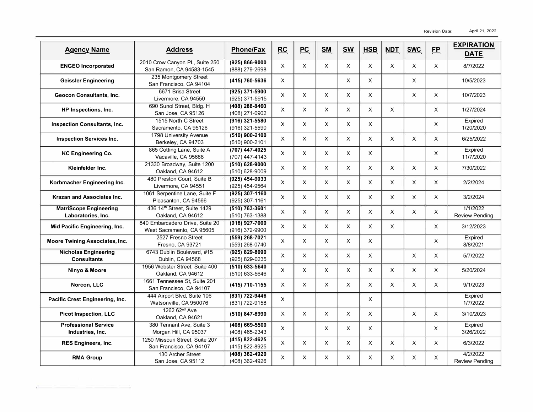| <b>Agency Name</b>                                  | <b>Address</b>                                               | <b>Phone/Fax</b>                     | RC             | PC             | <b>SM</b> | <b>SW</b>      | <b>HSB</b>     | <b>NDT</b> | <b>SWC</b> | EP             | <b>EXPIRATION</b>                 |
|-----------------------------------------------------|--------------------------------------------------------------|--------------------------------------|----------------|----------------|-----------|----------------|----------------|------------|------------|----------------|-----------------------------------|
| <b>ENGEO Incorporated</b>                           | 2010 Crow Canyon Pl., Suite 250<br>San Ramon, CA 94583-1545  | $(925) 866 - 9000$<br>(888) 279-2698 | $\pmb{\times}$ | $\times$       | X         | X              | X              | X          | X          | $\pmb{\times}$ | <b>DATE</b><br>8/7/2022           |
| <b>Geissler Engineering</b>                         | 235 Montgomery Street<br>San Francisco, CA 94104             | (415) 760-5636                       | X              |                |           | X              | X              |            | X          |                | 10/5/2023                         |
| <b>Geocon Consultants, Inc.</b>                     | 6671 Brisa Street<br>Livermore, CA 94550                     | (925) 371-5900<br>(925) 371-5915     | $\pmb{\times}$ | $\pmb{\times}$ | X         | X              | X              |            | X          | X              | 10/7/2023                         |
| HP Inspections, Inc.                                | 690 Sunol Street, Bldg. H<br>San Jose, CA 95126              | (408) 288-8460<br>(408) 271-0902     | X              | X              | X         | X              | X              | X          |            | X              | 1/27/2024                         |
| <b>Inspection Consultants, Inc.</b>                 | 1515 North C Street<br>Sacramento, CA 95126                  | (916) 321-5580<br>(916) 321-5590     | $\times$       | X              | X         | X              | X              |            |            | $\times$       | Expired<br>1/20/2020              |
| <b>Inspection Services Inc.</b>                     | 1798 University Avenue<br>Berkeley, CA 94703                 | (510) 900-2100<br>(510) 900-2101     | X              | $\pmb{\times}$ | $\times$  | X              | X              | X          | X          | X              | 6/25/2022                         |
| <b>KC Engineering Co.</b>                           | 865 Cotting Lane, Suite A<br>Vacaville, CA 95688             | (707) 447-4025<br>(707) 447-4143     | X              | X              | X         | X              | X              |            |            | $\times$       | Expired<br>11/7/2020              |
| Kleinfelder Inc.                                    | 21330 Broadway, Suite 1200<br>Oakland, CA 94612              | $(510) 628 - 9000$<br>(510) 628-9009 | X              | $\times$       | $\times$  | X              | X              | X          | X          | $\times$       | 7/30/2022                         |
| Korbmacher Engineering Inc.                         | 480 Preston Court, Suite B<br>Livermore, CA 94551            | (925) 454-9033<br>(925) 454-9564     | $\times$       | $\pmb{\times}$ | $\times$  | X              | X              | X          | $\times$   | X              | 2/2/2024                          |
| Krazan and Associates Inc.                          | 1061 Serpentine Lane, Suite F<br>Pleasanton, CA 94566        | (925) 307-1160<br>(925) 307-1161     | X              | $\times$       | $\times$  | X              | X              | X          | X          | $\times$       | 3/2/2024                          |
| <b>MatriScope Engineering</b><br>Laboratories, Inc. | 436 14 <sup>th</sup> Street. Suite 1429<br>Oakland, CA 94612 | (510) 763-3601<br>(510) 763-1388     | $\times$       | $\times$       | $\times$  | X              | X              | X          | X          | $\times$       | 1/1/2022<br><b>Review Pending</b> |
| Mid Pacific Engineering, Inc.                       | 840 Embarcadero Drive, Suite 20<br>West Sacramento, CA 95605 | (916) 927-7000<br>(916) 372-9900     | $\pmb{\times}$ | $\pmb{\times}$ | $\times$  | X              | X              | $\times$   |            | X              | 3/12/2023                         |
| <b>Moore Twining Associates, Inc.</b>               | 2527 Fresno Street<br>Fresno, CA 93721                       | (559) 268-7021<br>(559) 268-0740     | X              | $\times$       | $\times$  | X              | X              |            |            | X              | Expired<br>8/8/2021               |
| <b>Nicholas Engineering</b><br><b>Consultants</b>   | 6743 Dublin Boulevard, #15<br>Dublin, CA 94568               | (925) 829-8090<br>(925) 829-0235     | X              | $\times$       | $\times$  | X              | X              |            | X          | $\times$       | 5/7/2022                          |
| Ninyo & Moore                                       | 1956 Webster Street, Suite 400<br>Oakland, CA 94612          | $(510) 633 - 5640$<br>(510) 633-5646 | $\times$       | $\times$       | $\times$  | X              | X              | X          | X          | X              | 5/20/2024                         |
| Norcon, LLC                                         | 1661 Tennessee St. Suite 201<br>San Francisco, CA 94107      | (415) 710-1155                       | X              | $\times$       | X         | X              | X              | X          | X          | $\times$       | 9/1/2023                          |
| Pacific Crest Engineering, Inc.                     | 444 Airport Blvd, Suite 106<br>Watsonville, CA 950076        | (831) 722-9446<br>(831) 722-9158     | $\pmb{\times}$ |                |           |                | $\pmb{\times}$ |            |            |                | Expired<br>1/7/2022               |
| <b>Picot Inspection, LLC</b>                        | 1262 62 <sup>nd</sup> Ave<br>Oakland, CA 94621               | (510) 847-8990                       | X              | $\times$       | $\times$  | X              | X              |            | $\times$   | $\times$       | 3/10/2023                         |
| <b>Professional Service</b><br>Industries, Inc.     | 380 Tennant Ave, Suite 3<br>Morgan Hill, CA 95037            | (408) 669-5500<br>(408) 465-2343     | X              |                | $\times$  | X              | X              |            |            | X              | Expired<br>3/26/2022              |
| <b>RES Engineers, Inc.</b>                          | 1250 Missouri Street, Suite 207<br>San Francisco, CA 94107   | (415) 822-4625<br>(415) 822-8925     | $\pmb{\times}$ | $\pmb{\times}$ | X         | $\pmb{\times}$ | X              | X          | $\times$   | $\pmb{\times}$ | 6/3/2022                          |
| <b>RMA Group</b>                                    | 130 Archer Street<br>San Jose, CA 95112                      | (408) 362-4920<br>(408) 362-4926     | X              | X              | $\times$  | X              | X              | X          | X          | X              | 4/2/2022<br><b>Review Pending</b> |